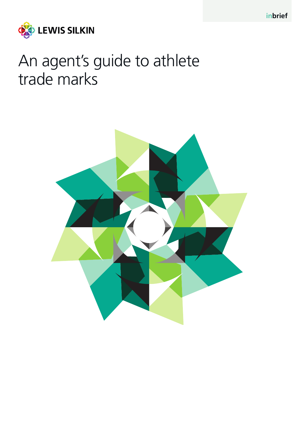

# An agent's guide to athlete trade marks

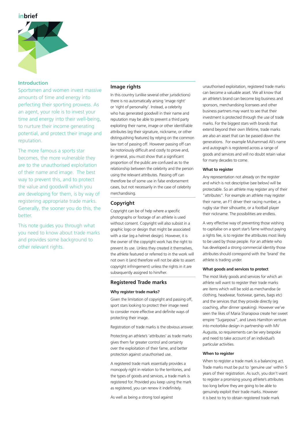## **inbrief**



## **Introduction**

Sportsmen and women invest massive amounts of time and energy into perfecting their sporting prowess. As an agent, your role is to invest your time and energy into their well-being, to nurture their income generating potential, and protect their image and reputation.

The more famous a sports star becomes, the more vulnerable they are to the unauthorised exploitation of their name and image. The best way to prevent this, and to protect the value and goodwill which you are developing for them, is by way of registering appropriate trade marks. Generally, the sooner you do this, the better.

This note guides you through what you need to know about trade marks and provides some background to other relevant rights.

## **Image rights**

In this country (unlike several other jurisdictions) there is no automatically arising 'image right' or 'right of personality'. Instead, a celebrity who has generated goodwill in their name and reputation may be able to prevent a third party exploiting their name, image or other identifiable attributes (eg their signature, nickname, or other distinguishing features) by relying on the common law tort of passing off. However passing off can be notoriously difficult and costly to prove and, in general, you must show that a significant proportion of the public are confused as to the relationship between the celebrity and the person using the relevant attributes. Passing off can therefore be of some use in false endorsement cases, but not necessarily in the case of celebrity merchandising.

## **Copyright**

Copyright can be of help where a specific photographs or footage of an athlete is used without consent. Copyright will also subsist in a graphic logo or design that might be associated with a star (eg a helmet design). However, it is the owner of the copyright work has the right to prevent its use. Unless they created it themselves, the athlete featured or referred to in the work will not own it (and therefore will not be able to assert copyright infringement) unless the rights in it are subsequently assigned to him/her.

## **Registered Trade marks**

#### **Why register trade marks?**

Given the limitation of copyright and passing off, sport stars looking to protect their image need to consider more effective and definite ways of protecting their image.

Registration of trade marks is the obvious answer.

Protecting an athlete's 'attributes' as trade marks gives them far greater control and certainty over the exploitation of their fame, and better protection against unauthorised use.

A registered trade mark essentially provides a monopoly right in relation to the territories, and the types of goods and services, a trade mark is registered for. Provided you keep using the mark as registered, you can renew it indefinitely.

As well as being a strong tool against

unauthorised exploitation, registered trade marks can become a valuable asset. We all know that an athlete's brand can become big business and sponsors, merchandising licensees and other business partners may want to see that their investment is protected through the use of trade marks. For the biggest stars with brands that extend beyond their own lifetime, trade marks are also an asset that can be passed down the generations. For example Muhammad Ali's name and autograph is registered across a range of goods and services and will no doubt retain value for many decades to come.

#### **What to register**

Any representation not already on the register and which is not descriptive (see below) will be protectable. So an athlete may register any of their "attributes". For example an athlete may register their name, an F1 driver their racing number, a rugby star their silhouette, or a football player their nickname. The possibilities are endless.

A very effective way of preventing those wishing to capitalise on a sport star's fame without paying a rights fee, is to register the attributes most likely to be used by those people. For an athlete who has developed a strong commercial identity those attributes should correspond with the 'brand' the athlete is trading under.

#### **What goods and services to protect**

The most likely goods and services for which an athlete will want to register their trade marks are items which will be sold as merchandise (ie clothing, headwear, footwear, games, bags etc) and the services that they provide directly (eg coaching, after dinner speaking). However we've seen the likes of Maria Sharapova create her sweet empire "Sugarpova", and Lewis Hamilton venture into motorbike design in partnership with MV Augusta, so requirements can be very bespoke and need to take account of an individual's particular activities.

#### **When to register**

When to register a trade mark is a balancing act. Trade marks must be put to 'genuine use' within 5 years of their registration. As such, you don't want to register a promising young athlete's attributes too long before they are going to be able to genuinely exploit their trade marks. However it is best to try to obtain registered trade mark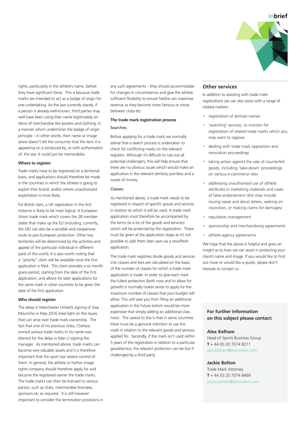

rights, particularly in the athlete's name, before they have significant fame. This is because trade marks are intended to act as a badge of origin for one undertaking. As the law currently stands, if a person is already well-known, third parties may well have been using their name legitimately on items of merchandise like posters and clothing, in a manner which undermines the badge of origin principle – in other words, their name or image alone doesn't tell the consumer that the item it is appearing on is produced by, or with authorisation of, the star. It could just be memorabilia.

#### **Where to register**

Trade marks have to be registered on a territorial basis, and applications should therefore be made in the countries in which the athlete is going to exploit their brand, and/or where unauthorized exploitation is most likely.

For British stars, a UK registration in the first instance is likely to be most logical. A European Union trade mark which covers the 28 member states that make up the EU (including, currently, the UK) can also be a sensible and inexpensive route to pan-European protection. Other key territories will be determined by the activities and appeal of the particular individual in different parts of the world. It is also worth noting that a "priority" claim will be available once the first application is filed. This claim provides a six month grace period, starting from the date of the first application, and allows for later applications for the same mark in other countries to be given the date of the first application.

#### **Who should register**

The delay in Manchester United's signing of Jose Mourinho in May 2016 shed light on the issues that can arise over trade mark ownership. The fact that one of his previous clubs, Chelsea, owned various trade marks in his name was blamed for the delay in Man U signing the manager. As mentioned above, trade marks can become very valuable assets and it is therefore important that the sport star retains control of them. In general, the athlete or his/her image rights company should therefore apply for and become the registered owner the trade marks. The trade marks can then be licensed to various parties, such as clubs, merchandise licensees, sponsors etc as required. It is still however important to consider the termination provisions in any such agreements – they should accommodate for changes in circumstances and give the athlete sufficient flexibility to ensure he/she can maximise revenue as they become more famous or move between clubs etc.

## **The trade mark registration process** Searches:

Before applying for a trade mark we normally advise that a search process is undertaken to check for conflicting marks on the relevant registers. Although it's difficult to rule out all potential challengers, this will help ensure that there are no obvious issues which would make an application in the relevant territory pointless and a waste of money.

#### Classes:

As mentioned above, a trade mark needs to be registered in respect of specific goods and services in relation to which it will be used. A trade mark application must therefore be accompanied by the terms (ie a list of the goods and services) which will be protected by the registration. These must be given at the application stage as it's not possible to add them later save via a new/fresh application.

The trade mark registries divide goods and services into classes and fees are calculated on the basis of the number of classes for which a trade mark application is made. In order to give each mark the fullest protection (both now and to allow for growth) it normally makes sense to apply for the maximum number of classes that your budget will allow. This will save you from filing an additional application in the future (which would be more expensive that simply adding an additional class now). The caveat to this is that in some countries there must be a genuine intention to use the mark in relation to the relevant goods and services applied for. Secondly, if the mark isn't used within 5 years of the registration in relation to a particular good/service, the relevant protection can be lost if challenged by a third party.

## **Other services**

In addition to assisting with trade mark registrations we can also assist with a range of related matters:

- registration of domain names
- 'watching' services, to monitor for registration of related trade marks which you may want to oppose
- dealing with trade mark opposition and revocation proceedings
- taking action against the sale of counterfeit goods, including 'take-down' proceedings on various e-commerce sites
- addressing unauthorised use of athlete attributes in marketing materials and cases of false endorsement (this may include issuing cease and desist letters, seeking an injunction, or making claims for damages)
- reputation management
- sponsorship and merchandising agreements
- athlete-agency agreements

We hope that the above is helpful and gives an insight as to how we can assist in protecting your client's name and image. If you would like to find out more or would like a quote, please don't hesitate to contact us.

## **For further information on this subject please contact:**

#### **Alex Kelham**

Head of Sports Business Group **T** + 44 (0) 20 7074 8211 alex.kelham@lewissilkin.com

#### **Jackie Bolton**

Trade Mark Attorney **T** + 44 (0) 20 7074 8469 jackie.bolton@lewissilkin.com